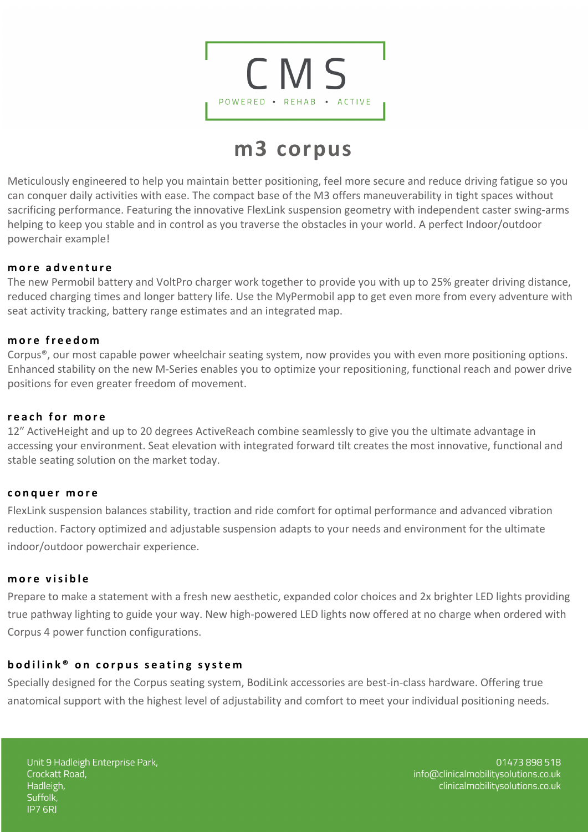

# **m3 corpus**

Meticulously engineered to help you maintain better positioning, feel more secure and reduce driving fatigue so you can conquer daily activities with ease. The compact base of the M3 offers maneuverability in tight spaces without sacrificing performance. Featuring the innovative FlexLink suspension geometry with independent caster swing-arms helping to keep you stable and in control as you traverse the obstacles in your world. A perfect Indoor/outdoor powerchair example!

## **more adventure**

The new Permobil battery and VoltPro charger work together to provide you with up to 25% greater driving distance, reduced charging times and longer battery life. Use the MyPermobil app to get even more from every adventure with seat activity tracking, battery range estimates and an integrated map.

## **more freedom**

Corpus®, our most capable power wheelchair seating system, now provides you with even more positioning options. Enhanced stability on the new M-Series enables you to optimize your repositioning, functional reach and power drive positions for even greater freedom of movement.

#### **reach for more**

12" ActiveHeight and up to 20 degrees ActiveReach combine seamlessly to give you the ultimate advantage in accessing your environment. Seat elevation with integrated forward tilt creates the most innovative, functional and stable seating solution on the market today.

#### **conquer more**

FlexLink suspension balances stability, traction and ride comfort for optimal performance and advanced vibration reduction. Factory optimized and adjustable suspension adapts to your needs and environment for the ultimate indoor/outdoor powerchair experience.

#### **more visible**

Prepare to make a statement with a fresh new aesthetic, expanded color choices and 2x brighter LED lights providing true pathway lighting to guide your way. New high-powered LED lights now offered at no charge when ordered with Corpus 4 power function configurations.

## **bodilin k® on corpus seating system**

Specially designed for the Corpus seating system, BodiLink accessories are best-in-class hardware. Offering true anatomical support with the highest level of adjustability and comfort to meet your individual positioning needs.

Unit 9 Hadleigh Enterprise Park, Crockatt Road, Hadleigh, Suffolk, **IP7 6RJ** 

01473898518 info@clinicalmobilitysolutions.co.uk clinicalmobilitysolutions.co.uk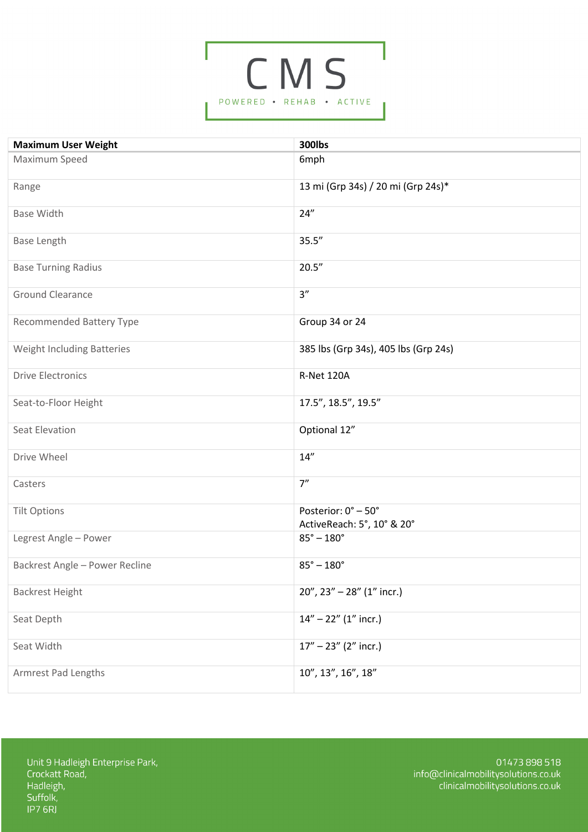

| <b>Maximum User Weight</b>      | <b>300lbs</b>                                     |
|---------------------------------|---------------------------------------------------|
| Maximum Speed                   | 6mph                                              |
| Range                           | 13 mi (Grp 34s) / 20 mi (Grp 24s)*                |
| <b>Base Width</b>               | 24"                                               |
| <b>Base Length</b>              | 35.5''                                            |
| <b>Base Turning Radius</b>      | 20.5''                                            |
| <b>Ground Clearance</b>         | 3''                                               |
| <b>Recommended Battery Type</b> | Group 34 or 24                                    |
| Weight Including Batteries      | 385 lbs (Grp 34s), 405 lbs (Grp 24s)              |
| <b>Drive Electronics</b>        | R-Net 120A                                        |
| Seat-to-Floor Height            | 17.5", 18.5", 19.5"                               |
| <b>Seat Elevation</b>           | Optional 12"                                      |
| Drive Wheel                     | 14"                                               |
| Casters                         | 7"                                                |
| <b>Tilt Options</b>             | Posterior: 0° - 50°<br>ActiveReach: 5°, 10° & 20° |
| Legrest Angle - Power           | $85^{\circ} - 180^{\circ}$                        |
| Backrest Angle - Power Recline  | $85^{\circ} - 180^{\circ}$                        |
| <b>Backrest Height</b>          | $20''$ , $23'' - 28''$ (1" incr.)                 |
| Seat Depth                      | $14" - 22"$ $(1"$ incr.)                          |
| Seat Width                      | $17" - 23"$ (2" incr.)                            |
| Armrest Pad Lengths             | 10", 13", 16", 18"                                |